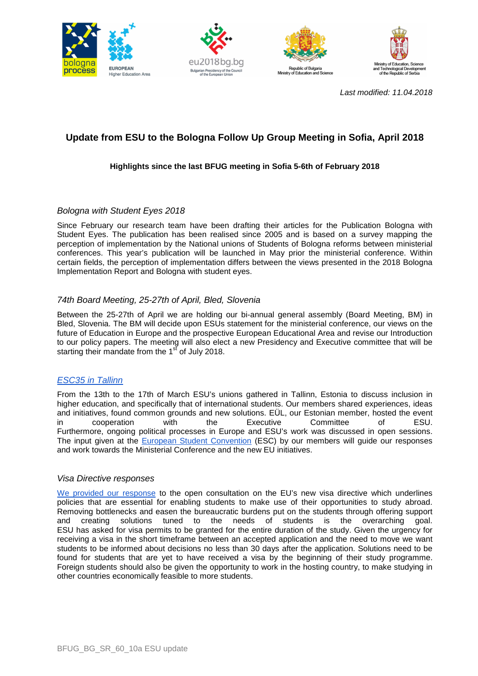







Last modified: 11.04.2018

# **Update from ESU to the Bologna Follow Up Group Meeting in Sofia, April 2018**

# **Highlights since the last BFUG meeting in Sofia 5-6th of February 2018**

#### Bologna with Student Eyes 2018

Since February our research team have been drafting their articles for the Publication Bologna with Student Eyes. The publication has been realised since 2005 and is based on a survey mapping the perception of implementation by the National unions of Students of Bologna reforms between ministerial conferences. This year's publication will be launched in May prior the ministerial conference. Within certain fields, the perception of implementation differs between the views presented in the 2018 Bologna Implementation Report and Bologna with student eyes.

# 74th Board Meeting, 25-27th of April, Bled, Slovenia

Between the 25-27th of April we are holding our bi-annual general assembly (Board Meeting, BM) in Bled, Slovenia. The BM will decide upon ESUs statement for the ministerial conference, our views on the future of Education in Europe and the prospective European Educational Area and revise our Introduction to our policy papers. The meeting will also elect a new Presidency and Executive committee that will be starting their mandate from the 1<sup>st</sup> of July 2018.

# ESC35 in Tallinn

From the 13th to the 17th of March ESU's unions gathered in Tallinn, Estonia to discuss inclusion in higher education, and specifically that of international students. Our members shared experiences, ideas and initiatives, found common grounds and new solutions. EÜL, our Estonian member, hosted the event in cooperation with the Executive Committee of ESU. Furthermore, ongoing political processes in Europe and ESU's work was discussed in open sessions. The input given at the European Student Convention (ESC) by our members will guide our responses and work towards the Ministerial Conference and the new EU initiatives.

#### Visa Directive responses

We provided our response to the open consultation on the EU's new visa directive which underlines policies that are essential for enabling students to make use of their opportunities to study abroad. Removing bottlenecks and easen the bureaucratic burdens put on the students through offering support and creating solutions tuned to the needs of students is the overarching goal. ESU has asked for visa permits to be granted for the entire duration of the study. Given the urgency for receiving a visa in the short timeframe between an accepted application and the need to move we want students to be informed about decisions no less than 30 days after the application. Solutions need to be found for students that are yet to have received a visa by the beginning of their study programme. Foreign students should also be given the opportunity to work in the hosting country, to make studying in other countries economically feasible to more students.